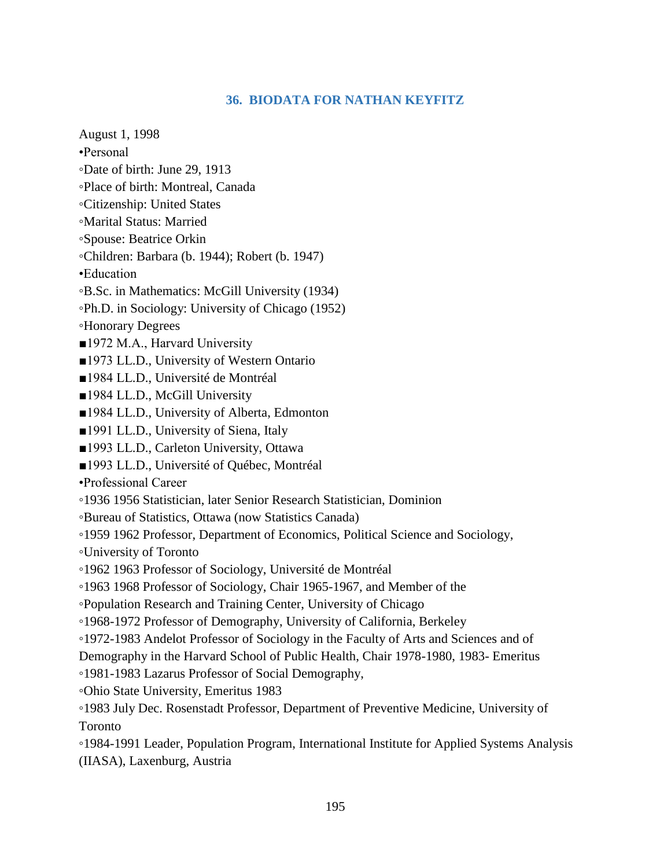## **36. BIODATA FOR NATHAN KEYFITZ**

August 1, 1998

- •Personal
- ◦Date of birth: June 29, 1913
- ◦Place of birth: Montreal, Canada
- ◦Citizenship: United States
- ◦Marital Status: Married
- ◦Spouse: Beatrice Orkin
- ◦Children: Barbara (b. 1944); Robert (b. 1947)
- •Education
- ◦B.Sc. in Mathematics: McGill University (1934)
- ◦Ph.D. in Sociology: University of Chicago (1952)
- ◦Honorary Degrees
- ■1972 M.A., Harvard University
- ■1973 LL.D., University of Western Ontario
- ■1984 LL.D., Université de Montréal
- ■1984 LL.D., McGill University
- ■1984 LL.D., University of Alberta, Edmonton
- ■1991 LL.D., University of Siena, Italy
- ■1993 LL.D., Carleton University, Ottawa
- ■1993 LL.D., Université of Québec, Montréal
- •Professional Career
- ◦1936 1956 Statistician, later Senior Research Statistician, Dominion
- ◦Bureau of Statistics, Ottawa (now Statistics Canada)
- ◦1959 1962 Professor, Department of Economics, Political Science and Sociology,
- ◦University of Toronto
- ◦1962 1963 Professor of Sociology, Université de Montréal
- ◦1963 1968 Professor of Sociology, Chair 1965-1967, and Member of the
- ◦Population Research and Training Center, University of Chicago
- ◦1968-1972 Professor of Demography, University of California, Berkeley
- ◦1972-1983 Andelot Professor of Sociology in the Faculty of Arts and Sciences and of
- Demography in the Harvard School of Public Health, Chair 1978-1980, 1983- Emeritus
- ◦1981-1983 Lazarus Professor of Social Demography,
- ◦Ohio State University, Emeritus 1983
- ◦1983 July Dec. Rosenstadt Professor, Department of Preventive Medicine, University of Toronto
- ◦1984-1991 Leader, Population Program, International Institute for Applied Systems Analysis (IIASA), Laxenburg, Austria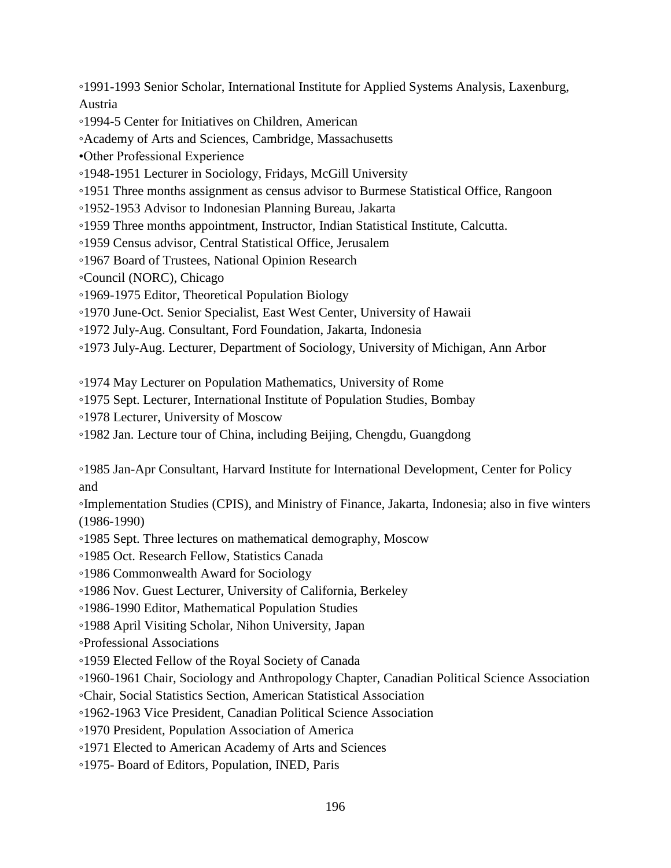◦1991-1993 Senior Scholar, International Institute for Applied Systems Analysis, Laxenburg, Austria

◦1994-5 Center for Initiatives on Children, American

◦Academy of Arts and Sciences, Cambridge, Massachusetts

•Other Professional Experience

◦1948-1951 Lecturer in Sociology, Fridays, McGill University

◦1951 Three months assignment as census advisor to Burmese Statistical Office, Rangoon

◦1952-1953 Advisor to Indonesian Planning Bureau, Jakarta

◦1959 Three months appointment, Instructor, Indian Statistical Institute, Calcutta.

- ◦1959 Census advisor, Central Statistical Office, Jerusalem
- ◦1967 Board of Trustees, National Opinion Research

◦Council (NORC), Chicago

- ◦1969-1975 Editor, Theoretical Population Biology
- ◦1970 June-Oct. Senior Specialist, East West Center, University of Hawaii
- ◦1972 July-Aug. Consultant, Ford Foundation, Jakarta, Indonesia
- ◦1973 July-Aug. Lecturer, Department of Sociology, University of Michigan, Ann Arbor

◦1974 May Lecturer on Population Mathematics, University of Rome

- ◦1975 Sept. Lecturer, International Institute of Population Studies, Bombay
- ◦1978 Lecturer, University of Moscow

◦1982 Jan. Lecture tour of China, including Beijing, Chengdu, Guangdong

◦1985 Jan-Apr Consultant, Harvard Institute for International Development, Center for Policy and

◦Implementation Studies (CPIS), and Ministry of Finance, Jakarta, Indonesia; also in five winters (1986-1990)

- ◦1985 Sept. Three lectures on mathematical demography, Moscow
- ◦1985 Oct. Research Fellow, Statistics Canada
- ◦1986 Commonwealth Award for Sociology
- ◦1986 Nov. Guest Lecturer, University of California, Berkeley
- ◦1986-1990 Editor, Mathematical Population Studies
- ◦1988 April Visiting Scholar, Nihon University, Japan

◦Professional Associations

◦1959 Elected Fellow of the Royal Society of Canada

◦1960-1961 Chair, Sociology and Anthropology Chapter, Canadian Political Science Association

◦Chair, Social Statistics Section, American Statistical Association

◦1962-1963 Vice President, Canadian Political Science Association

◦1970 President, Population Association of America

◦1971 Elected to American Academy of Arts and Sciences

◦1975- Board of Editors, Population, INED, Paris